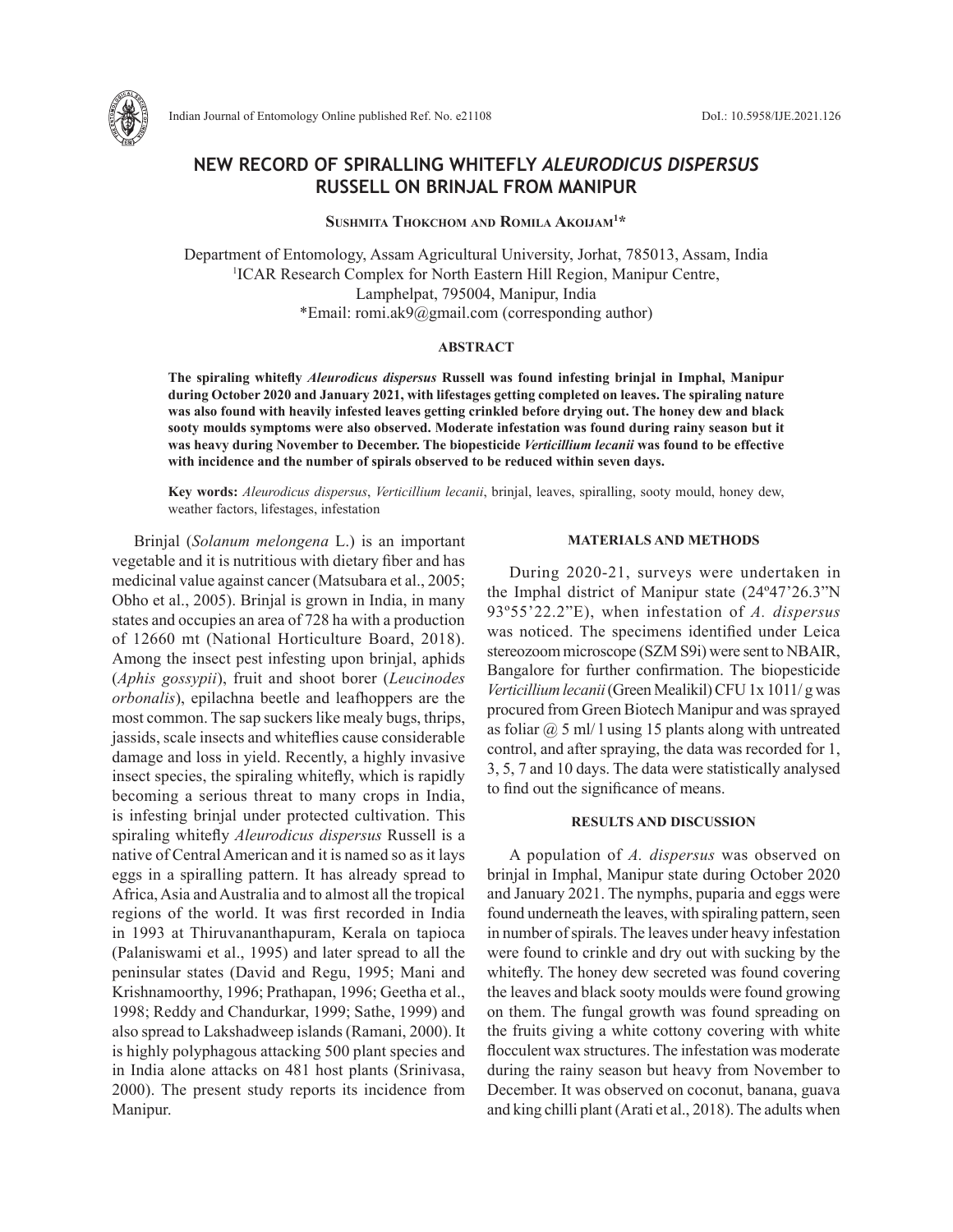

Indian Journal of Entomology Online published Ref. No. e21108 DoI.: 10.5958/IJE.2021.126

# **NEW RECORD OF SPIRALLING WHITEFLY** *ALEURODICUS DISPERSUS* **RUSSELL ON BRINJAL FROM MANIPUR**

**Sushmita Thokchom and Romila Akoijam1 \***

Department of Entomology, Assam Agricultural University, Jorhat, 785013, Assam, India 1 ICAR Research Complex for North Eastern Hill Region, Manipur Centre, Lamphelpat, 795004, Manipur, India \*Email: romi.ak9@gmail.com (corresponding author)

#### **ABSTRACT**

**The spiraling whitefly** *Aleurodicus dispersus* **Russell was found infesting brinjal in Imphal, Manipur during October 2020 and January 2021, with lifestages getting completed on leaves. The spiraling nature was also found with heavily infested leaves getting crinkled before drying out. The honey dew and black sooty moulds symptoms were also observed. Moderate infestation was found during rainy season but it was heavy during November to December. The biopesticide** *Verticillium lecanii* **was found to be effective with incidence and the number of spirals observed to be reduced within seven days.** 

**Key words:** *Aleurodicus dispersus*, *Verticillium lecanii*, brinjal, leaves, spiralling, sooty mould, honey dew, weather factors, lifestages, infestation

Brinjal (*Solanum melongena* L.) is an important vegetable and it is nutritious with dietary fiber and has medicinal value against cancer (Matsubara et al., 2005; Obho et al., 2005). Brinjal is grown in India, in many states and occupies an area of 728 ha with a production of 12660 mt (National Horticulture Board, 2018). Among the insect pest infesting upon brinjal, aphids (*Aphis gossypii*), fruit and shoot borer (*Leucinodes orbonalis*), epilachna beetle and leafhoppers are the most common. The sap suckers like mealy bugs, thrips, jassids, scale insects and whiteflies cause considerable damage and loss in yield. Recently, a highly invasive insect species, the spiraling whitefly, which is rapidly becoming a serious threat to many crops in India, is infesting brinjal under protected cultivation. This spiraling whitefly *Aleurodicus dispersus* Russell is a native of Central American and it is named so as it lays eggs in a spiralling pattern. It has already spread to Africa, Asia and Australia and to almost all the tropical regions of the world. It was first recorded in India in 1993 at Thiruvananthapuram, Kerala on tapioca (Palaniswami et al., 1995) and later spread to all the peninsular states (David and Regu, 1995; Mani and Krishnamoorthy, 1996; Prathapan, 1996; Geetha et al., 1998; Reddy and Chandurkar, 1999; Sathe, 1999) and also spread to Lakshadweep islands (Ramani, 2000). It is highly polyphagous attacking 500 plant species and in India alone attacks on 481 host plants (Srinivasa, 2000). The present study reports its incidence from Manipur.

#### **MATERIALS AND METHODS**

During 2020-21, surveys were undertaken in the Imphal district of Manipur state (24º47'26.3"N 93º55'22.2"E), when infestation of *A. dispersus* was noticed. The specimens identified under Leica stereozoom microscope (SZM S9i) were sent to NBAIR, Bangalore for further confirmation. The biopesticide *Verticillium lecanii* (Green Mealikil) CFU 1x 1011/ g was procured from Green Biotech Manipur and was sprayed as foliar  $\omega$  5 ml/ l using 15 plants along with untreated control, and after spraying, the data was recorded for 1, 3, 5, 7 and 10 days. The data were statistically analysed to find out the significance of means.

### **RESULTS AND DISCUSSION**

A population of *A. dispersus* was observed on brinjal in Imphal, Manipur state during October 2020 and January 2021. The nymphs, puparia and eggs were found underneath the leaves, with spiraling pattern, seen in number of spirals. The leaves under heavy infestation were found to crinkle and dry out with sucking by the whitefly. The honey dew secreted was found covering the leaves and black sooty moulds were found growing on them. The fungal growth was found spreading on the fruits giving a white cottony covering with white flocculent wax structures. The infestation was moderate during the rainy season but heavy from November to December. It was observed on coconut, banana, guava and king chilli plant (Arati et al., 2018). The adults when